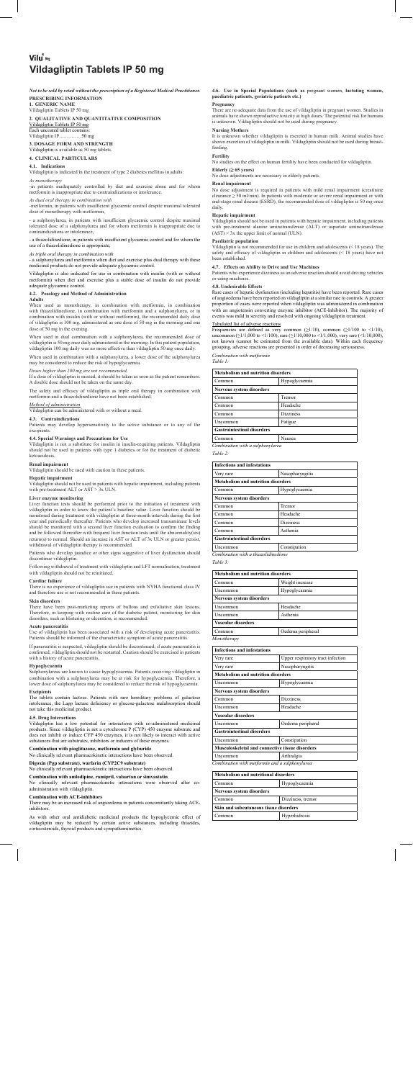# Vilu<sup>®</sup> aa **Vildagliptin Tablets IP 50 mg**

*Not to be sold by retail without the prescription of a Registered Medical Practitioner.*  **PRESCRIBING INFORMATION**

**1. GENERIC NAME** Vildagliptin Tablets IP 50 mg

Vildagliptin is available as  $50 \text{ mg}$  tabl **4. CLINICAL PARTICULARS**

**2. QUALITATIVE AND QUANTITATIVE COMPOSITION** 

Vildagliptin Tablets IP 50 mg Each uncoated tablet contains: Vildagliptin IP…..………50 mg

**3. DOSAGE FORM AND STRENGTH**

**4.1. Indications**

Vildagliptin is indicated in the treatment of type 2 diabetes mellitus in adults: *As monotherapy*

a sulphonylurea, in patients with insufficient glycaemic control despite maximal tolerated dose of a sulphonylurea and for whom metformin is inappropriate due to contraindications or intolerance,

-in patients inadequately controlled by diet and exercise alone and for whom metformin is inappropriate due to contraindications or intolerance.

*As dual oral therapy in combination with*

-metformin, in patients with insufficient glycaemic control despite maximal tolerated dose of monotherapy with metformin,

When used as monotherapy, in combination with metformin, in combination<br>with thiazolidinedione, in combination with metformin and a sulphonylurea, or in<br>combination with insulin (with or without metformin), the recommended of vildagliptin is 100 mg, administered as one dose of 50 mg in the morning and one dose of 50 mg in the evening.

- a thiazolidinedione, in patients with insufficient glycaemic control and for whom the use of a thiazolidinedione is appropriate,

*As triple oral therapy in combination with*

- a sulphonylurea and metformin when diet and exercise plus dual therapy with these medicinal products do not provide adequate glycaemic control.

Vildagliptin is also indicated for use in combination with insulin (with or without metformin) when diet and exercise plus a stable dose of insulin do not provide adequate glycaemic control.

**4.4. Special Warnings and Precautions for Use**<br>Vildagliptin is not a substitute for insulin in insulin-requiring patients. Vildagliptin<br>should not be used in patients with type 1 diabetes or for the treatment of diabetic ketoacidosis.

### **4.2. Posology and Method of Administration**

**Adults**

Liver function tests should be performed prior to the initiation of treatment with<br>vildagliptin in order to know the patient's baseline value. Liver function should be<br>monitored during treatment with vildagliptin at threeyear and periodically thereafter. Patients who develop increased transaminase levels should be monitored with a second liver function evaluation to confirm the finding and be followed thereafter with frequent liver function tests until the abnormality(ies) return(s) to normal. Should an increase in AST or ALT of 3x ULN or greater persist, withdrawal of vildagliptin therapy is recommended.

When used in dual combination with a sulphonylurea, the recommended dose of vildagliptin is 50 mg once daily administered in the morning. In this patient population, vildagliptin 100 mg daily was no more effective than vildagliptin 50 mg once daily.

There is no experience of vildagliptin use in patients with NYHA functional class IV and therefore use is not recommended in these patients.

When used in combination with a sulphonylurea, a lower dose of the sulphonylurea may be considered to reduce the risk of hypoglycaemia.

*Doses higher than 100 mg are not recommended.*<br>If a dose of vildagliptin is missed, it should be taken as soon as the patient remembers.<br>A double dose should not be taken on the same day.

pancreaties.<br>
vildagliptin has been associated with a risk of developing acute pancreatitis. Patients should be informed of the characteristic symptom of acute pancreatitis.

The safety and efficacy of vildagliptin as triple oral therapy in combination with metformin and a thiazolidinedione have not been established.

The tablets contain lactose. Patients with rare hereditary problems of galactose intolerance, the Lapp lactase deficiency or glucose-galactose malabsorption should In the distribution of the target of the target of the target of the target of the target of the target of the medicinal product.

*Method of administration* Vildagliptin can be administered with or without a meal.

## **4.3. Contraindications**

Patients may develop hypersensitivity to the active substance or to any of the excipients.

No clinically relevant pharmacokinetic interactions were observed after coadministration with vildagliptin.

**Renal impairment** Vildagliptin should be used with caution in these patients.

### **Hepatic impairment**

Vildagliptin should not be used in patients with hepatic impairment, including patients with pre-treatment ALT or AST > 3x ULN.

s with other oral antidiabetic medicinal products the hypoglycemic effect of vildagliptin may be reduced by certain active substances, including thiazides, corticosteroids, thyroid products and sympathomimetics.

#### **Liver enzyme monitoring**

No dose adjustment is required in patients with mild renal impairment (creatinine<br>clearance≥ 50 ml/min). In patients with moderate or severe renal impairment or with<br>end-stage renal disease (ESRD), the recommended dose of daily.

Vildagliptin should not be used in patients with hepatic impairment, including patients with pre-treatment alanine aminotransferase (ALT) or aspartate aminotransferase  $(AST) > 3x$  the upper limit of normal (ULN).

**4.7. Effects on Ability to Drive and Use Machines** Patients who experience dizziness as an adverse reaction should avoid driving vehicles Patients who experience dizzi<br>or using machines.

Patients who develop jaundice or other signs suggestive of liver dysfunction should discontinue vildagliptin.

Following withdrawal of treatment with vildagliptin and LFT normalisation, treatment with vildagliptin should not be reinitiated.

#### **Cardiac failure**

### **Skin disorders**

Tabulated list of adverse reactions<br>Frequencies are defined as very common ( $\geq$ 1/10), common ( $\geq$ 1/10) to <1/10),<br>uncommon ( $\geq$ 1/1,000 to <1/100), rare ( $\geq$ 1/10,000 to <1/1,000), very rare (<1/10,000),<br>not known ( *Combination with metformin*

There have been post-marketing reports of bullous and exfoliative skin lesions. Therefore, in keeping with routine care of the diabetic patient, monitoring for skin disorders, such as blistering or ulceration, is recommended.

# **Acute pancreatitis**

| Uncommon | Constipation *Combination with a thiazolidinedione*

If pancreatitis is suspected, vildagliptin should be discontinued; if acute pancreatitis is confirmed, vildagliptin should not be restarted. Caution should be exercised in patients with a history of acute pancreatitis.

### **Hypoglycaemia**

Sulphonylureas are known to cause hypoglycaemia. Patients receiving vildagliptin in<br>combination with a sulphonylurea may be at risk for hypoglycaemia. Therefore, a<br>lower dose of sulphonylurea may be considered to reduce th

### **Excipients**

#### **4.5. Drug Interactions**

Vildagliptin has a low potential for interactions with co-administered medicinal<br>products. Since vildagliptin is not a cytochrome P (CYP) 450 enzyme substrate and<br>does not inhibit or induce CYP 450 enzymes, it is not likel substances that are substrates, inhibitors or inducers of these enzymes.

## **combination with pioglitazone, metformin and glyburide**

No clinically relevant pharmacokinetic interactions have been observed.

#### **Digoxin (Pgp substrate), warfarin (CYP2C9 substrate)**

No clinically relevant pharmacokinetic interactions have been observed.

### **Combination with amlodipine, ramipril, valsartan or simvastatin**

### **Combination with ACE-inhibitors**

There may be an increased risk of angioedema in patients concomitantly taking ACEinhibitors.

## **4.6. Use in Special Populations (such as** pregnant women, **lactating women, paediatric patients, geriatric patients etc.)**

### **Pregnancy**

There are no adequate data from the use of vildagliptin in pregnant women. Studies in<br>animals have shown reproductive toxicity at high doses. The potential risk for humans<br>is unknown. Vildagliptin should not be used during

### **Nursing Mothers**

It is unknown whether vildagliptin is excreted in human milk. Animal studies have shown excretion of vildagliptin in milk. Vildagliptin should not be used during breast-feeding.

## **Fertility**

No studies on the effect on human fertility have been conducted for vildagliptin.

## **Elderly (≥ 65 years)**

No dose adjustments are necessary in elderly patients.

## **Renal impairment**

#### **Hepatic impairment**

**Paediatric population**  Vildagliptin is not recommended for use in children and adolescents (< 18 years). The safety and efficacy of vildagliptin in children and adolescents (< 18 years) have not been established.

## **4.8. Undesirable Effects**

Rare cases of hepatic dysfunction (including hepatitis) have been reported. Rare cases<br>of angioedema have been reported on vildagliptin at a similar rate to controls. A greater<br>proportion of cases were reported when vildag

#### *Table 1:*

| <b>Metabolism and nutrition disorders</b> |                  |
|-------------------------------------------|------------------|
| Common                                    | Hypoglycaemia    |
| Nervous system disorders                  |                  |
| Common                                    | Tremor           |
| Common                                    | Headache         |
| Common                                    | <b>Dizziness</b> |
| Uncommon                                  | Fatigue          |
| <b>Gastrointestinal disorders</b>         |                  |

Common Nausea *Combination with a sulphonylurea*

*Table 2:*

| <b>Infections and infestations</b> |                  |
|------------------------------------|------------------|
| Very rare                          | Nasopharyngitis  |
| Metabolism and nutrition disorders |                  |
| Common                             | Hypoglycaemia    |
| Nervous system disorders           |                  |
| Common                             | Tremor           |
| Common                             | Headache         |
| Common                             | <b>Dizziness</b> |
| Common                             | Asthenia         |
| <b>Gastrointestinal disorders</b>  |                  |
|                                    |                  |

*Table 3:*

## **Metabolism and nutrition disorders**

| Common                          | Weight increase   |
|---------------------------------|-------------------|
| Uncommon                        | Hypoglycaemia     |
| <b>Nervous system disorders</b> |                   |
| Uncommon                        | Headache          |
| Uncommon                        | Asthenia          |
| <b>Vascular disorders</b>       |                   |
| Common                          | Oedema peripheral |
| Monotherapy                     |                   |

**Musculoskeletal and co** 

| Infections and infestations               |                                   |
|-------------------------------------------|-----------------------------------|
| Very rare                                 | Upper respiratory tract infection |
| Very rare                                 | Nasopharyngitis                   |
| <b>Metabolism and nutrition disorders</b> |                                   |
| Uncommon                                  | Hypoglycaemia                     |
| <b>Nervous system disorders</b>           |                                   |
| Common                                    | <b>Dizziness</b>                  |
| Uncommon                                  | Headache                          |
| Vascular disorders                        |                                   |
| Uncommon                                  | Oedema peripheral                 |
| <b>Gastrointestinal disorders</b>         |                                   |
| Uncommon                                  | Constipation                      |
|                                           |                                   |

|               | ncommon | Arthralgia |
|---------------|---------|------------|
| .<br>$\cdots$ |         |            |

*Combination with metformin and a sulphonylurea*

| Metabolism and nutritional disorders   |                   |
|----------------------------------------|-------------------|
| Common                                 | Hypoglycaemia     |
| <b>Nervous system disorders</b>        |                   |
| Common                                 | Dizziness, tremor |
| Skin and subcutaneous tissue disorders |                   |
| `ommon                                 | Hyperhidrosis     |